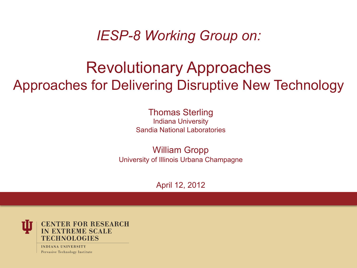*IESP-8 Working Group on:* 

#### Revolutionary Approaches Approaches for Delivering Disruptive New Technology

Thomas Sterling Indiana University Sandia National Laboratories

William Gropp University of Illinois Urbana Champagne

April 12, 2012



**INDIANA UNIVERSITY** Pervasive Technology Institute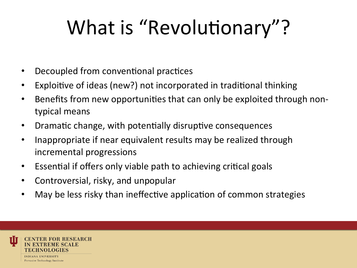# What is "Revolutionary"?

- Decoupled from conventional practices
- Exploitive of ideas (new?) not incorporated in traditional thinking
- Benefits from new opportunities that can only be exploited through nontypical means
- Dramatic change, with potentially disruptive consequences
- Inappropriate if near equivalent results may be realized through incremental progressions
- Essential if offers only viable path to achieving critical goals
- Controversial, risky, and unpopular
- May be less risky than ineffective application of common strategies

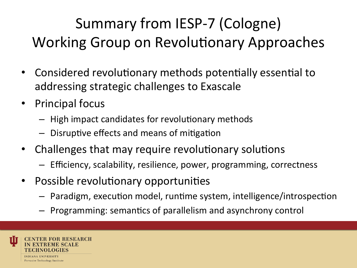#### Summary from IESP-7 (Cologne) Working Group on Revolutionary Approaches

- Considered revolutionary methods potentially essential to addressing strategic challenges to Exascale
- Principal focus
	- $-$  High impact candidates for revolutionary methods
	- $-$  Disruptive effects and means of mitigation
- Challenges that may require revolutionary solutions
	- $-$  Efficiency, scalability, resilience, power, programming, correctness
- Possible revolutionary opportunities
	- $-$  Paradigm, execution model, runtime system, intelligence/introspection
	- $-$  Programming: semantics of parallelism and asynchrony control

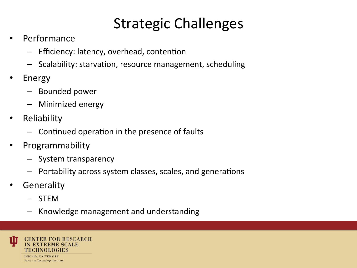#### **Strategic Challenges**

- **Performance** 
	- $-$  Efficiency: latency, overhead, contention
	- $-$  Scalability: starvation, resource management, scheduling
- Energy
	- Bounded power
	- Minimized energy
- Reliability
	- $-$  Continued operation in the presence of faults
- Programmability
	- System transparency
	- $-$  Portability across system classes, scales, and generations
- **Generality** 
	- STEM
	- Knowledge management and understanding

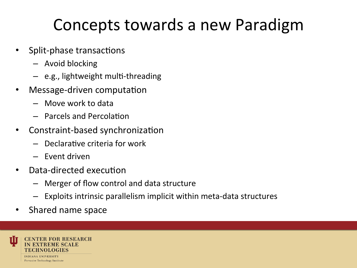### Concepts towards a new Paradigm

- Split-phase transactions
	- $-$  Avoid blocking
	- $-$  e.g., lightweight multi-threading
- Message-driven computation
	- $-$  Move work to data
	- $-$  Parcels and Percolation
- Constraint-based synchronization
	- $-$  Declarative criteria for work
	- Event driven
- Data-directed execution
	- Merger of flow control and data structure
	- $-$  Exploits intrinsic parallelism implicit within meta-data structures
- Shared name space

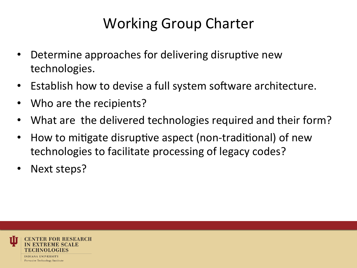#### Working Group Charter

- Determine approaches for delivering disruptive new technologies.
- Establish how to devise a full system software architecture.
- Who are the recipients?
- What are the delivered technologies required and their form?
- How to mitigate disruptive aspect (non-traditional) of new technologies to facilitate processing of legacy codes?
- Next steps?

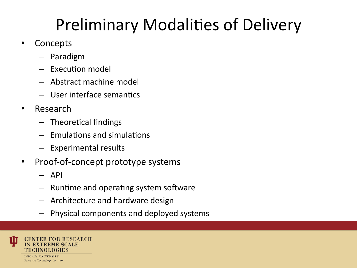## Preliminary Modalities of Delivery

- Concepts
	- Paradigm
	- $-$  Execution model
	- $-$  Abstract machine model
	- $-$  User interface semantics
- Research
	- $-$  Theoretical findings
	- $-$  Fmulations and simulations
	- $-$  Experimental results
- Proof-of-concept prototype systems
	- API
	- $-$  Runtime and operating system software
	- $-$  Architecture and hardware design
	- Physical components and deployed systems

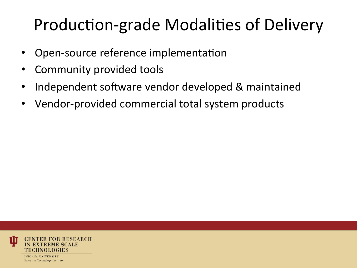## Production-grade Modalities of Delivery

- Open-source reference implementation
- Community provided tools
- Independent software vendor developed & maintained
- Vendor-provided commercial total system products